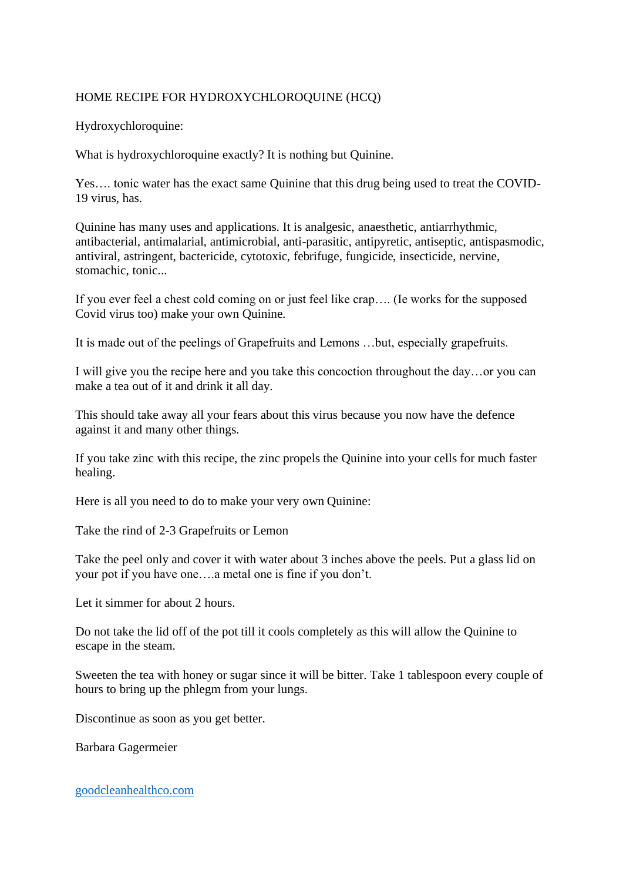## HOME RECIPE FOR HYDROXYCHLOROQUINE (HCQ)

Hydroxychloroquine:

What is hydroxychloroquine exactly? It is nothing but Quinine.

Yes…. tonic water has the exact same Quinine that this drug being used to treat the COVID-19 virus, has.

Quinine has many uses and applications. It is analgesic, anaesthetic, antiarrhythmic, antibacterial, antimalarial, antimicrobial, anti-parasitic, antipyretic, antiseptic, antispasmodic, antiviral, astringent, bactericide, cytotoxic, febrifuge, fungicide, insecticide, nervine, stomachic, tonic...

If you ever feel a chest cold coming on or just feel like crap…. (Ie works for the supposed Covid virus too) make your own Quinine.

It is made out of the peelings of Grapefruits and Lemons …but, especially grapefruits.

I will give you the recipe here and you take this concoction throughout the day…or you can make a tea out of it and drink it all day.

This should take away all your fears about this virus because you now have the defence against it and many other things.

If you take zinc with this recipe, the zinc propels the Quinine into your cells for much faster healing.

Here is all you need to do to make your very own Quinine:

Take the rind of 2-3 Grapefruits or Lemon

Take the peel only and cover it with water about 3 inches above the peels. Put a glass lid on your pot if you have one….a metal one is fine if you don't.

Let it simmer for about 2 hours.

Do not take the lid off of the pot till it cools completely as this will allow the Quinine to escape in the steam.

Sweeten the tea with honey or sugar since it will be bitter. Take 1 tablespoon every couple of hours to bring up the phlegm from your lungs.

Discontinue as soon as you get better.

Barbara Gagermeier

[goodcleanhealthco.com](https://goodcleanhealthco.com/shop/hydrogen-peroxide-order/?utm_source=Google%20Shopping&utm_campaign=GCHCWooNzFeed&utm_medium=cpc&utm_term=1528&gclid=Cj0KCQjw_dWGBhDAARIsAMcYuJw_JFO3uph0OU7HeQwaGWkGW0Qzpm-hEGd1wUYwxFCwVvKC5Wqzk20aAgwwEALw_wcB)